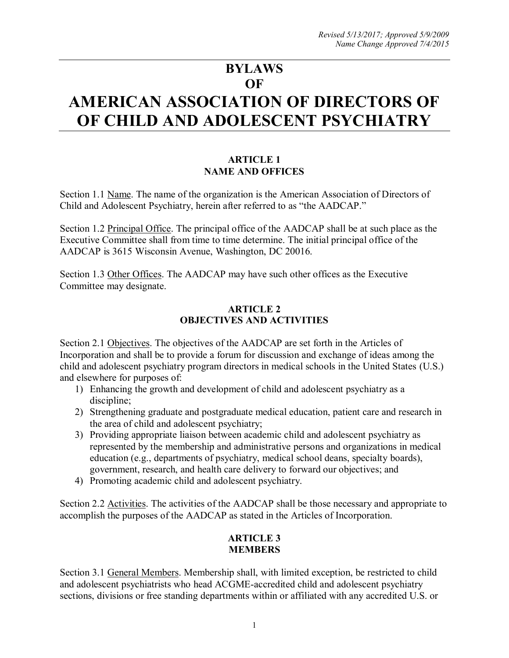# **BYLAWS OF AMERICAN ASSOCIATION OF DIRECTORS OF OF CHILD AND ADOLESCENT PSYCHIATRY**

# **ARTICLE 1 NAME AND OFFICES**

Section 1.1 Name. The name of the organization is the American Association of Directors of Child and Adolescent Psychiatry, herein after referred to as "the AADCAP."

Section 1.2 Principal Office. The principal office of the AADCAP shall be at such place as the Executive Committee shall from time to time determine. The initial principal office of the AADCAP is 3615 Wisconsin Avenue, Washington, DC 20016.

Section 1.3 Other Offices. The AADCAP may have such other offices as the Executive Committee may designate.

#### **ARTICLE 2 OBJECTIVES AND ACTIVITIES**

Section 2.1 Objectives. The objectives of the AADCAP are set forth in the Articles of Incorporation and shall be to provide a forum for discussion and exchange of ideas among the child and adolescent psychiatry program directors in medical schools in the United States (U.S.) and elsewhere for purposes of:

- 1) Enhancing the growth and development of child and adolescent psychiatry as a discipline;
- 2) Strengthening graduate and postgraduate medical education, patient care and research in the area of child and adolescent psychiatry;
- 3) Providing appropriate liaison between academic child and adolescent psychiatry as represented by the membership and administrative persons and organizations in medical education (e.g., departments of psychiatry, medical school deans, specialty boards), government, research, and health care delivery to forward our objectives; and
- 4) Promoting academic child and adolescent psychiatry.

Section 2.2 Activities. The activities of the AADCAP shall be those necessary and appropriate to accomplish the purposes of the AADCAP as stated in the Articles of Incorporation.

# **ARTICLE 3 MEMBERS**

Section 3.1 General Members. Membership shall, with limited exception, be restricted to child and adolescent psychiatrists who head ACGME-accredited child and adolescent psychiatry sections, divisions or free standing departments within or affiliated with any accredited U.S. or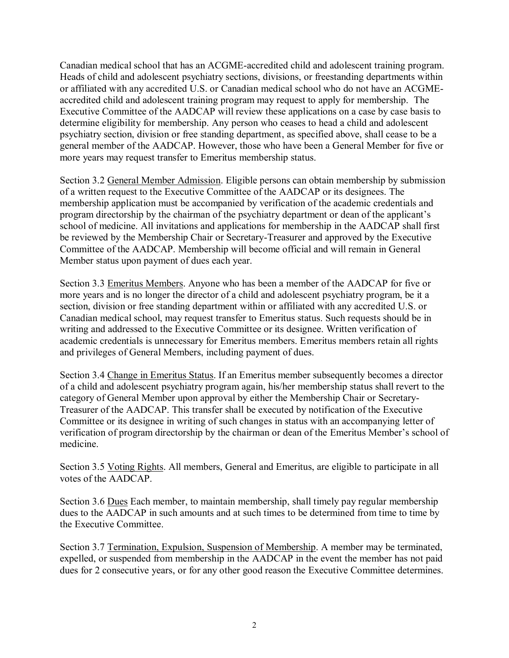Canadian medical school that has an ACGME-accredited child and adolescent training program. Heads of child and adolescent psychiatry sections, divisions, or freestanding departments within or affiliated with any accredited U.S. or Canadian medical school who do not have an ACGMEaccredited child and adolescent training program may request to apply for membership. The Executive Committee of the AADCAP will review these applications on a case by case basis to determine eligibility for membership. Any person who ceases to head a child and adolescent psychiatry section, division or free standing department, as specified above, shall cease to be a general member of the AADCAP. However, those who have been a General Member for five or more years may request transfer to Emeritus membership status.

Section 3.2 General Member Admission. Eligible persons can obtain membership by submission of a written request to the Executive Committee of the AADCAP or its designees. The membership application must be accompanied by verification of the academic credentials and program directorship by the chairman of the psychiatry department or dean of the applicant's school of medicine. All invitations and applications for membership in the AADCAP shall first be reviewed by the Membership Chair or Secretary-Treasurer and approved by the Executive Committee of the AADCAP. Membership will become official and will remain in General Member status upon payment of dues each year.

Section 3.3 Emeritus Members. Anyone who has been a member of the AADCAP for five or more years and is no longer the director of a child and adolescent psychiatry program, be it a section, division or free standing department within or affiliated with any accredited U.S. or Canadian medical school, may request transfer to Emeritus status. Such requests should be in writing and addressed to the Executive Committee or its designee. Written verification of academic credentials is unnecessary for Emeritus members. Emeritus members retain all rights and privileges of General Members, including payment of dues.

Section 3.4 Change in Emeritus Status. If an Emeritus member subsequently becomes a director of a child and adolescent psychiatry program again, his/her membership status shall revert to the category of General Member upon approval by either the Membership Chair or Secretary-Treasurer of the AADCAP. This transfer shall be executed by notification of the Executive Committee or its designee in writing of such changes in status with an accompanying letter of verification of program directorship by the chairman or dean of the Emeritus Member's school of medicine.

Section 3.5 Voting Rights. All members, General and Emeritus, are eligible to participate in all votes of the AADCAP.

Section 3.6 Dues Each member, to maintain membership, shall timely pay regular membership dues to the AADCAP in such amounts and at such times to be determined from time to time by the Executive Committee.

Section 3.7 Termination, Expulsion, Suspension of Membership. A member may be terminated, expelled, or suspended from membership in the AADCAP in the event the member has not paid dues for 2 consecutive years, or for any other good reason the Executive Committee determines.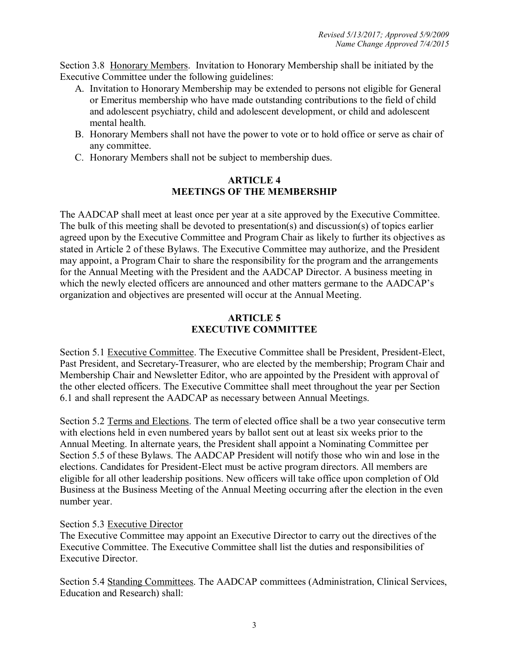Section 3.8 Honorary Members. Invitation to Honorary Membership shall be initiated by the Executive Committee under the following guidelines:

- A. Invitation to Honorary Membership may be extended to persons not eligible for General or Emeritus membership who have made outstanding contributions to the field of child and adolescent psychiatry, child and adolescent development, or child and adolescent mental health.
- B. Honorary Members shall not have the power to vote or to hold office or serve as chair of any committee.
- C. Honorary Members shall not be subject to membership dues.

# **ARTICLE 4 MEETINGS OF THE MEMBERSHIP**

The AADCAP shall meet at least once per year at a site approved by the Executive Committee. The bulk of this meeting shall be devoted to presentation(s) and discussion(s) of topics earlier agreed upon by the Executive Committee and Program Chair as likely to further its objectives as stated in Article 2 of these Bylaws. The Executive Committee may authorize, and the President may appoint, a Program Chair to share the responsibility for the program and the arrangements for the Annual Meeting with the President and the AADCAP Director. A business meeting in which the newly elected officers are announced and other matters germane to the AADCAP's organization and objectives are presented will occur at the Annual Meeting.

# **ARTICLE 5 EXECUTIVE COMMITTEE**

Section 5.1 Executive Committee. The Executive Committee shall be President, President-Elect, Past President, and Secretary-Treasurer, who are elected by the membership; Program Chair and Membership Chair and Newsletter Editor, who are appointed by the President with approval of the other elected officers. The Executive Committee shall meet throughout the year per Section 6.1 and shall represent the AADCAP as necessary between Annual Meetings.

Section 5.2 Terms and Elections. The term of elected office shall be a two year consecutive term with elections held in even numbered years by ballot sent out at least six weeks prior to the Annual Meeting. In alternate years, the President shall appoint a Nominating Committee per Section 5.5 of these Bylaws. The AADCAP President will notify those who win and lose in the elections. Candidates for President-Elect must be active program directors. All members are eligible for all other leadership positions. New officers will take office upon completion of Old Business at the Business Meeting of the Annual Meeting occurring after the election in the even number year.

# Section 5.3 Executive Director

The Executive Committee may appoint an Executive Director to carry out the directives of the Executive Committee. The Executive Committee shall list the duties and responsibilities of Executive Director.

Section 5.4 Standing Committees. The AADCAP committees (Administration, Clinical Services, Education and Research) shall: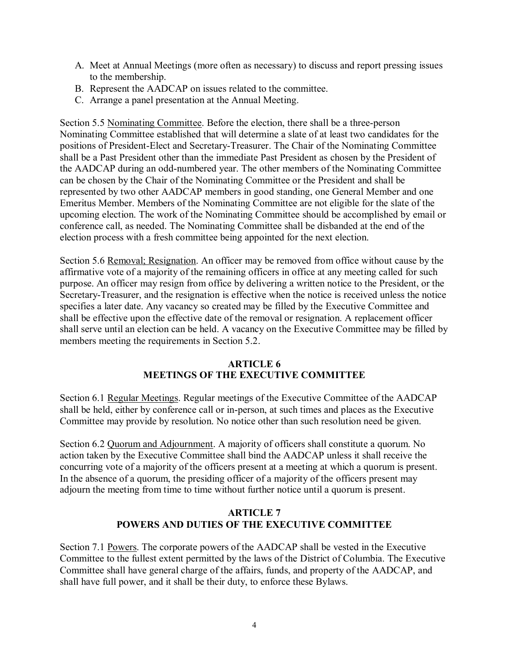- A. Meet at Annual Meetings (more often as necessary) to discuss and report pressing issues to the membership.
- B. Represent the AADCAP on issues related to the committee.
- C. Arrange a panel presentation at the Annual Meeting.

Section 5.5 Nominating Committee. Before the election, there shall be a three-person Nominating Committee established that will determine a slate of at least two candidates for the positions of President-Elect and Secretary-Treasurer. The Chair of the Nominating Committee shall be a Past President other than the immediate Past President as chosen by the President of the AADCAP during an odd-numbered year. The other members of the Nominating Committee can be chosen by the Chair of the Nominating Committee or the President and shall be represented by two other AADCAP members in good standing, one General Member and one Emeritus Member. Members of the Nominating Committee are not eligible for the slate of the upcoming election. The work of the Nominating Committee should be accomplished by email or conference call, as needed. The Nominating Committee shall be disbanded at the end of the election process with a fresh committee being appointed for the next election.

Section 5.6 Removal; Resignation. An officer may be removed from office without cause by the affirmative vote of a majority of the remaining officers in office at any meeting called for such purpose. An officer may resign from office by delivering a written notice to the President, or the Secretary-Treasurer, and the resignation is effective when the notice is received unless the notice specifies a later date. Any vacancy so created may be filled by the Executive Committee and shall be effective upon the effective date of the removal or resignation. A replacement officer shall serve until an election can be held. A vacancy on the Executive Committee may be filled by members meeting the requirements in Section 5.2.

# **ARTICLE 6 MEETINGS OF THE EXECUTIVE COMMITTEE**

Section 6.1 Regular Meetings. Regular meetings of the Executive Committee of the AADCAP shall be held, either by conference call or in-person, at such times and places as the Executive Committee may provide by resolution. No notice other than such resolution need be given.

Section 6.2 Quorum and Adjournment. A majority of officers shall constitute a quorum. No action taken by the Executive Committee shall bind the AADCAP unless it shall receive the concurring vote of a majority of the officers present at a meeting at which a quorum is present. In the absence of a quorum, the presiding officer of a majority of the officers present may adjourn the meeting from time to time without further notice until a quorum is present.

# **ARTICLE 7 POWERS AND DUTIES OF THE EXECUTIVE COMMITTEE**

Section 7.1 Powers. The corporate powers of the AADCAP shall be vested in the Executive Committee to the fullest extent permitted by the laws of the District of Columbia. The Executive Committee shall have general charge of the affairs, funds, and property of the AADCAP, and shall have full power, and it shall be their duty, to enforce these Bylaws.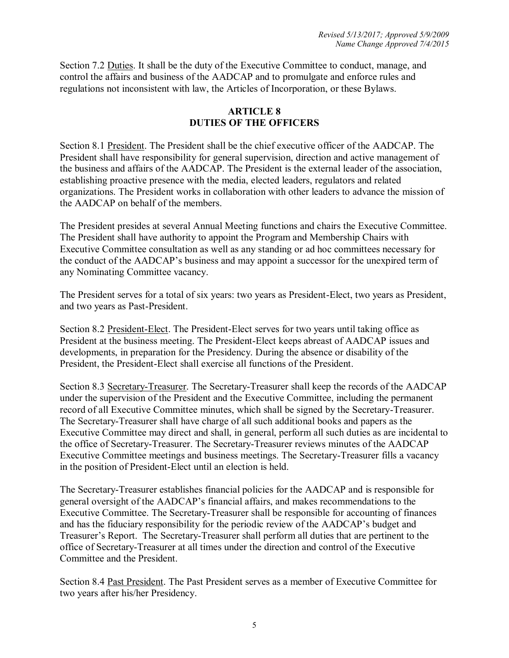Section 7.2 Duties. It shall be the duty of the Executive Committee to conduct, manage, and control the affairs and business of the AADCAP and to promulgate and enforce rules and regulations not inconsistent with law, the Articles of Incorporation, or these Bylaws.

# **ARTICLE 8 DUTIES OF THE OFFICERS**

Section 8.1 President. The President shall be the chief executive officer of the AADCAP. The President shall have responsibility for general supervision, direction and active management of the business and affairs of the AADCAP. The President is the external leader of the association, establishing proactive presence with the media, elected leaders, regulators and related organizations. The President works in collaboration with other leaders to advance the mission of the AADCAP on behalf of the members.

The President presides at several Annual Meeting functions and chairs the Executive Committee. The President shall have authority to appoint the Program and Membership Chairs with Executive Committee consultation as well as any standing or ad hoc committees necessary for the conduct of the AADCAP's business and may appoint a successor for the unexpired term of any Nominating Committee vacancy.

The President serves for a total of six years: two years as President-Elect, two years as President, and two years as Past-President.

Section 8.2 President-Elect. The President-Elect serves for two years until taking office as President at the business meeting. The President-Elect keeps abreast of AADCAP issues and developments, in preparation for the Presidency. During the absence or disability of the President, the President-Elect shall exercise all functions of the President.

Section 8.3 Secretary-Treasurer. The Secretary-Treasurer shall keep the records of the AADCAP under the supervision of the President and the Executive Committee, including the permanent record of all Executive Committee minutes, which shall be signed by the Secretary-Treasurer. The Secretary-Treasurer shall have charge of all such additional books and papers as the Executive Committee may direct and shall, in general, perform all such duties as are incidental to the office of Secretary-Treasurer. The Secretary-Treasurer reviews minutes of the AADCAP Executive Committee meetings and business meetings. The Secretary-Treasurer fills a vacancy in the position of President-Elect until an election is held.

The Secretary-Treasurer establishes financial policies for the AADCAP and is responsible for general oversight of the AADCAP's financial affairs, and makes recommendations to the Executive Committee. The Secretary-Treasurer shall be responsible for accounting of finances and has the fiduciary responsibility for the periodic review of the AADCAP's budget and Treasurer's Report. The Secretary-Treasurer shall perform all duties that are pertinent to the office of Secretary-Treasurer at all times under the direction and control of the Executive Committee and the President.

Section 8.4 Past President. The Past President serves as a member of Executive Committee for two years after his/her Presidency.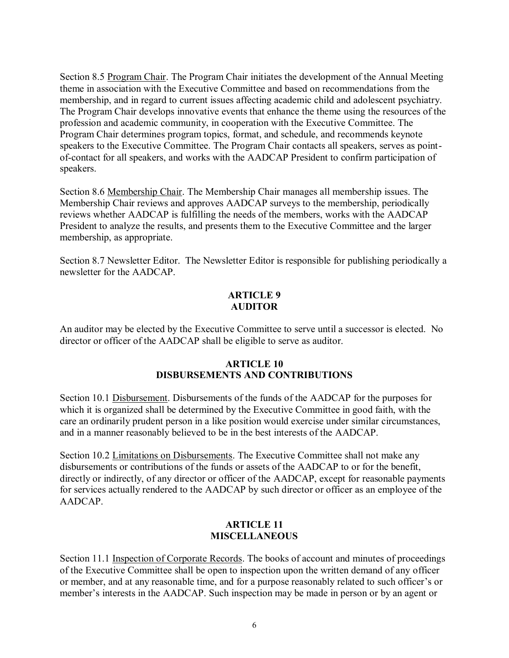Section 8.5 Program Chair. The Program Chair initiates the development of the Annual Meeting theme in association with the Executive Committee and based on recommendations from the membership, and in regard to current issues affecting academic child and adolescent psychiatry. The Program Chair develops innovative events that enhance the theme using the resources of the profession and academic community, in cooperation with the Executive Committee. The Program Chair determines program topics, format, and schedule, and recommends keynote speakers to the Executive Committee. The Program Chair contacts all speakers, serves as pointof-contact for all speakers, and works with the AADCAP President to confirm participation of speakers.

Section 8.6 Membership Chair. The Membership Chair manages all membership issues. The Membership Chair reviews and approves AADCAP surveys to the membership, periodically reviews whether AADCAP is fulfilling the needs of the members, works with the AADCAP President to analyze the results, and presents them to the Executive Committee and the larger membership, as appropriate.

Section 8.7 Newsletter Editor. The Newsletter Editor is responsible for publishing periodically a newsletter for the AADCAP.

#### **ARTICLE 9 AUDITOR**

An auditor may be elected by the Executive Committee to serve until a successor is elected. No director or officer of the AADCAP shall be eligible to serve as auditor.

# **ARTICLE 10 DISBURSEMENTS AND CONTRIBUTIONS**

Section 10.1 Disbursement. Disbursements of the funds of the AADCAP for the purposes for which it is organized shall be determined by the Executive Committee in good faith, with the care an ordinarily prudent person in a like position would exercise under similar circumstances, and in a manner reasonably believed to be in the best interests of the AADCAP.

Section 10.2 Limitations on Disbursements. The Executive Committee shall not make any disbursements or contributions of the funds or assets of the AADCAP to or for the benefit, directly or indirectly, of any director or officer of the AADCAP, except for reasonable payments for services actually rendered to the AADCAP by such director or officer as an employee of the AADCAP.

# **ARTICLE 11 MISCELLANEOUS**

Section 11.1 Inspection of Corporate Records. The books of account and minutes of proceedings of the Executive Committee shall be open to inspection upon the written demand of any officer or member, and at any reasonable time, and for a purpose reasonably related to such officer's or member's interests in the AADCAP. Such inspection may be made in person or by an agent or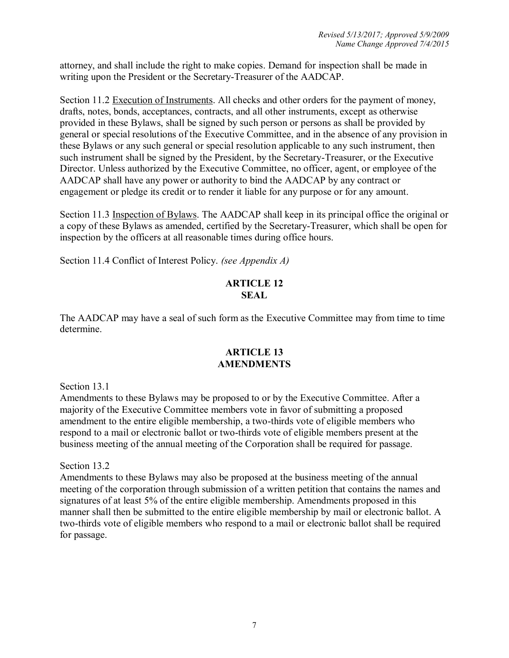attorney, and shall include the right to make copies. Demand for inspection shall be made in writing upon the President or the Secretary-Treasurer of the AADCAP.

Section 11.2 Execution of Instruments. All checks and other orders for the payment of money, drafts, notes, bonds, acceptances, contracts, and all other instruments, except as otherwise provided in these Bylaws, shall be signed by such person or persons as shall be provided by general or special resolutions of the Executive Committee, and in the absence of any provision in these Bylaws or any such general or special resolution applicable to any such instrument, then such instrument shall be signed by the President, by the Secretary-Treasurer, or the Executive Director. Unless authorized by the Executive Committee, no officer, agent, or employee of the AADCAP shall have any power or authority to bind the AADCAP by any contract or engagement or pledge its credit or to render it liable for any purpose or for any amount.

Section 11.3 Inspection of Bylaws. The AADCAP shall keep in its principal office the original or a copy of these Bylaws as amended, certified by the Secretary-Treasurer, which shall be open for inspection by the officers at all reasonable times during office hours.

Section 11.4 Conflict of Interest Policy. *(see Appendix A)*

# **ARTICLE 12 SEAL**

The AADCAP may have a seal of such form as the Executive Committee may from time to time determine.

# **ARTICLE 13 AMENDMENTS**

Section 13.1

Amendments to these Bylaws may be proposed to or by the Executive Committee. After a majority of the Executive Committee members vote in favor of submitting a proposed amendment to the entire eligible membership, a two-thirds vote of eligible members who respond to a mail or electronic ballot or two-thirds vote of eligible members present at the business meeting of the annual meeting of the Corporation shall be required for passage.

Section 13.2

Amendments to these Bylaws may also be proposed at the business meeting of the annual meeting of the corporation through submission of a written petition that contains the names and signatures of at least 5% of the entire eligible membership. Amendments proposed in this manner shall then be submitted to the entire eligible membership by mail or electronic ballot. A two-thirds vote of eligible members who respond to a mail or electronic ballot shall be required for passage.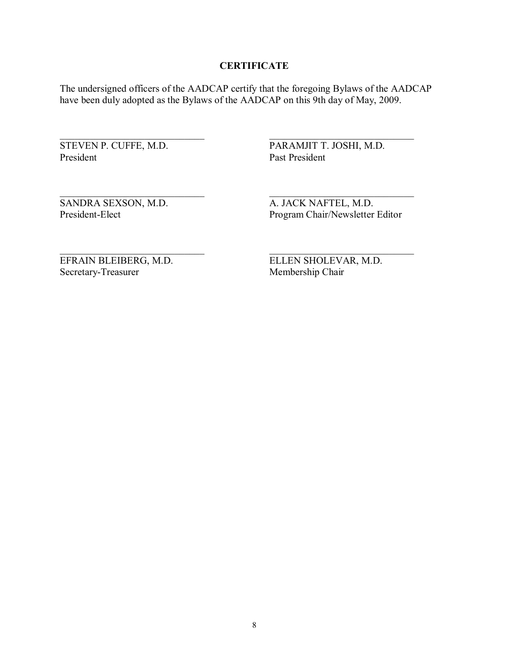#### **CERTIFICATE**

The undersigned officers of the AADCAP certify that the foregoing Bylaws of the AADCAP have been duly adopted as the Bylaws of the AADCAP on this 9th day of May, 2009.

STEVEN P. CUFFE, M.D. President

PARAMJIT T. JOSHI, M.D. Past President

SANDRA SEXSON, M.D. President-Elect

A. JACK NAFTEL, M.D. Program Chair/Newsletter Editor

EFRAIN BLEIBERG, M.D. Secretary-Treasurer

ELLEN SHOLEVAR, M.D. Membership Chair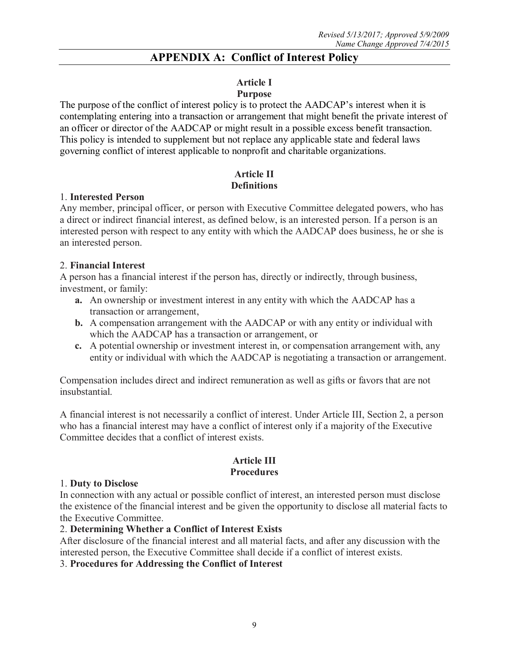# **APPENDIX A: Conflict of Interest Policy**

# **Article I**

#### **Purpose**

The purpose of the conflict of interest policy is to protect the AADCAP's interest when it is contemplating entering into a transaction or arrangement that might benefit the private interest of an officer or director of the AADCAP or might result in a possible excess benefit transaction. This policy is intended to supplement but not replace any applicable state and federal laws governing conflict of interest applicable to nonprofit and charitable organizations.

#### **Article II Definitions**

#### 1. **Interested Person**

Any member, principal officer, or person with Executive Committee delegated powers, who has a direct or indirect financial interest, as defined below, is an interested person. If a person is an interested person with respect to any entity with which the AADCAP does business, he or she is an interested person.

#### 2. **Financial Interest**

A person has a financial interest if the person has, directly or indirectly, through business, investment, or family:

- **a.** An ownership or investment interest in any entity with which the AADCAP has a transaction or arrangement,
- **b.** A compensation arrangement with the AADCAP or with any entity or individual with which the AADCAP has a transaction or arrangement, or
- **c.** A potential ownership or investment interest in, or compensation arrangement with, any entity or individual with which the AADCAP is negotiating a transaction or arrangement.

Compensation includes direct and indirect remuneration as well as gifts or favors that are not insubstantial.

A financial interest is not necessarily a conflict of interest. Under Article III, Section 2, a person who has a financial interest may have a conflict of interest only if a majority of the Executive Committee decides that a conflict of interest exists.

# **Article III Procedures**

#### 1. **Duty to Disclose**

In connection with any actual or possible conflict of interest, an interested person must disclose the existence of the financial interest and be given the opportunity to disclose all material facts to the Executive Committee.

#### 2. **Determining Whether a Conflict of Interest Exists**

After disclosure of the financial interest and all material facts, and after any discussion with the interested person, the Executive Committee shall decide if a conflict of interest exists.

#### 3. **Procedures for Addressing the Conflict of Interest**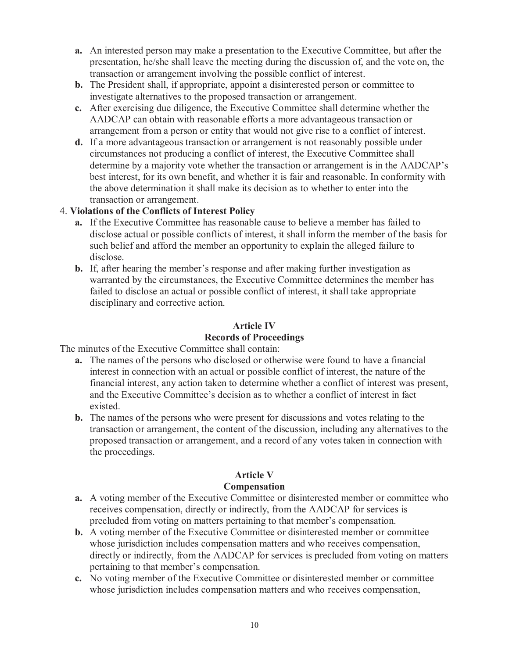- **a.** An interested person may make a presentation to the Executive Committee, but after the presentation, he/she shall leave the meeting during the discussion of, and the vote on, the transaction or arrangement involving the possible conflict of interest.
- **b.** The President shall, if appropriate, appoint a disinterested person or committee to investigate alternatives to the proposed transaction or arrangement.
- **c.** After exercising due diligence, the Executive Committee shall determine whether the AADCAP can obtain with reasonable efforts a more advantageous transaction or arrangement from a person or entity that would not give rise to a conflict of interest.
- **d.** If a more advantageous transaction or arrangement is not reasonably possible under circumstances not producing a conflict of interest, the Executive Committee shall determine by a majority vote whether the transaction or arrangement is in the AADCAP's best interest, for its own benefit, and whether it is fair and reasonable. In conformity with the above determination it shall make its decision as to whether to enter into the transaction or arrangement.

# 4. **Violations of the Conflicts of Interest Policy**

- **a.** If the Executive Committee has reasonable cause to believe a member has failed to disclose actual or possible conflicts of interest, it shall inform the member of the basis for such belief and afford the member an opportunity to explain the alleged failure to disclose.
- **b.** If, after hearing the member's response and after making further investigation as warranted by the circumstances, the Executive Committee determines the member has failed to disclose an actual or possible conflict of interest, it shall take appropriate disciplinary and corrective action.

# **Article IV**

# **Records of Proceedings**

The minutes of the Executive Committee shall contain:

- **a.** The names of the persons who disclosed or otherwise were found to have a financial interest in connection with an actual or possible conflict of interest, the nature of the financial interest, any action taken to determine whether a conflict of interest was present, and the Executive Committee's decision as to whether a conflict of interest in fact existed.
- **b.** The names of the persons who were present for discussions and votes relating to the transaction or arrangement, the content of the discussion, including any alternatives to the proposed transaction or arrangement, and a record of any votes taken in connection with the proceedings.

# **Article V**

# **Compensation**

- **a.** A voting member of the Executive Committee or disinterested member or committee who receives compensation, directly or indirectly, from the AADCAP for services is precluded from voting on matters pertaining to that member's compensation.
- **b.** A voting member of the Executive Committee or disinterested member or committee whose jurisdiction includes compensation matters and who receives compensation, directly or indirectly, from the AADCAP for services is precluded from voting on matters pertaining to that member's compensation.
- **c.** No voting member of the Executive Committee or disinterested member or committee whose jurisdiction includes compensation matters and who receives compensation,